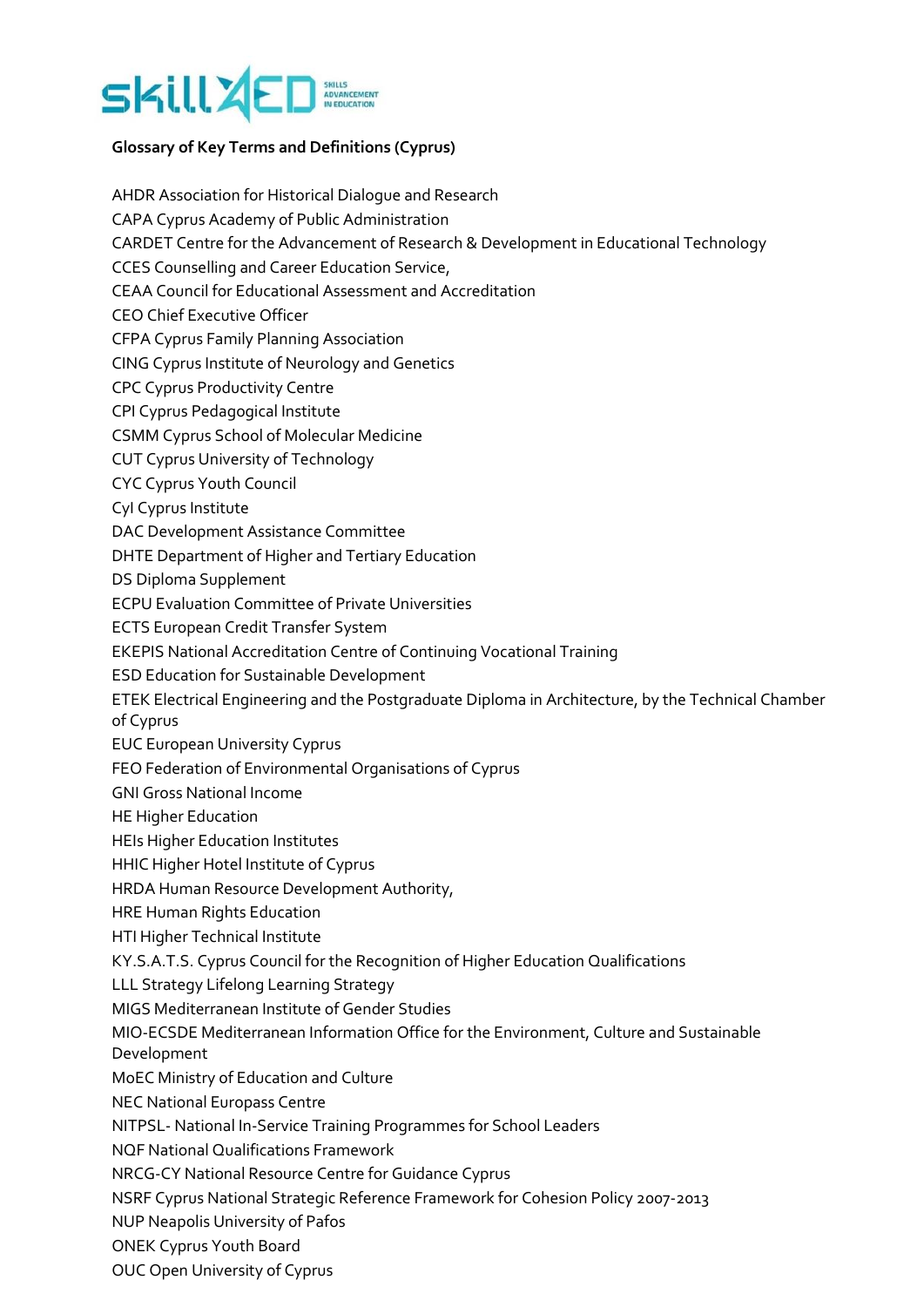

# **Glossary of Key Terms and Definitions (Cyprus)**

AHDR Association for Historical Dialogue and Research CAPA Cyprus Academy of Public Administration CARDET Centre for the Advancement of Research & Development in Educational Technology CCES Counselling and Career Education Service, CEAA Council for Educational Assessment and Accreditation CEO Chief Executive Officer CFPA Cyprus Family Planning Association CING Cyprus Institute of Neurology and Genetics CPC Cyprus Productivity Centre CPI Cyprus Pedagogical Institute CSMM Cyprus School of Molecular Medicine CUT Cyprus University of Technology CYC Cyprus Youth Council CyI Cyprus Institute DAC Development Assistance Committee DHTE Department of Higher and Tertiary Education DS Diploma Supplement ECPU Evaluation Committee of Private Universities ECTS European Credit Transfer System EKEPIS National Accreditation Centre of Continuing Vocational Training ESD Education for Sustainable Development ETEK Electrical Engineering and the Postgraduate Diploma in Architecture, by the Technical Chamber of Cyprus EUC European University Cyprus FEO Federation of Environmental Organisations of Cyprus GNI Gross National Income HE Higher Education HEIs Higher Education Institutes HHIC Higher Hotel Institute of Cyprus HRDA Human Resource Development Authority, HRE Human Rights Education HTI Higher Technical Institute KY.S.A.T.S. Cyprus Council for the Recognition of Higher Education Qualifications LLL Strategy Lifelong Learning Strategy MIGS Mediterranean Institute of Gender Studies MIO-ECSDE Mediterranean Information Office for the Environment, Culture and Sustainable Development MoEC Ministry of Education and Culture NEC National Europass Centre NITPSL- National In-Service Training Programmes for School Leaders NQF National Qualifications Framework NRCG-CY National Resource Centre for Guidance Cyprus NSRF Cyprus National Strategic Reference Framework for Cohesion Policy 2007-2013 NUP Neapolis University of Pafos ONEK Cyprus Youth Board

OUC Open University of Cyprus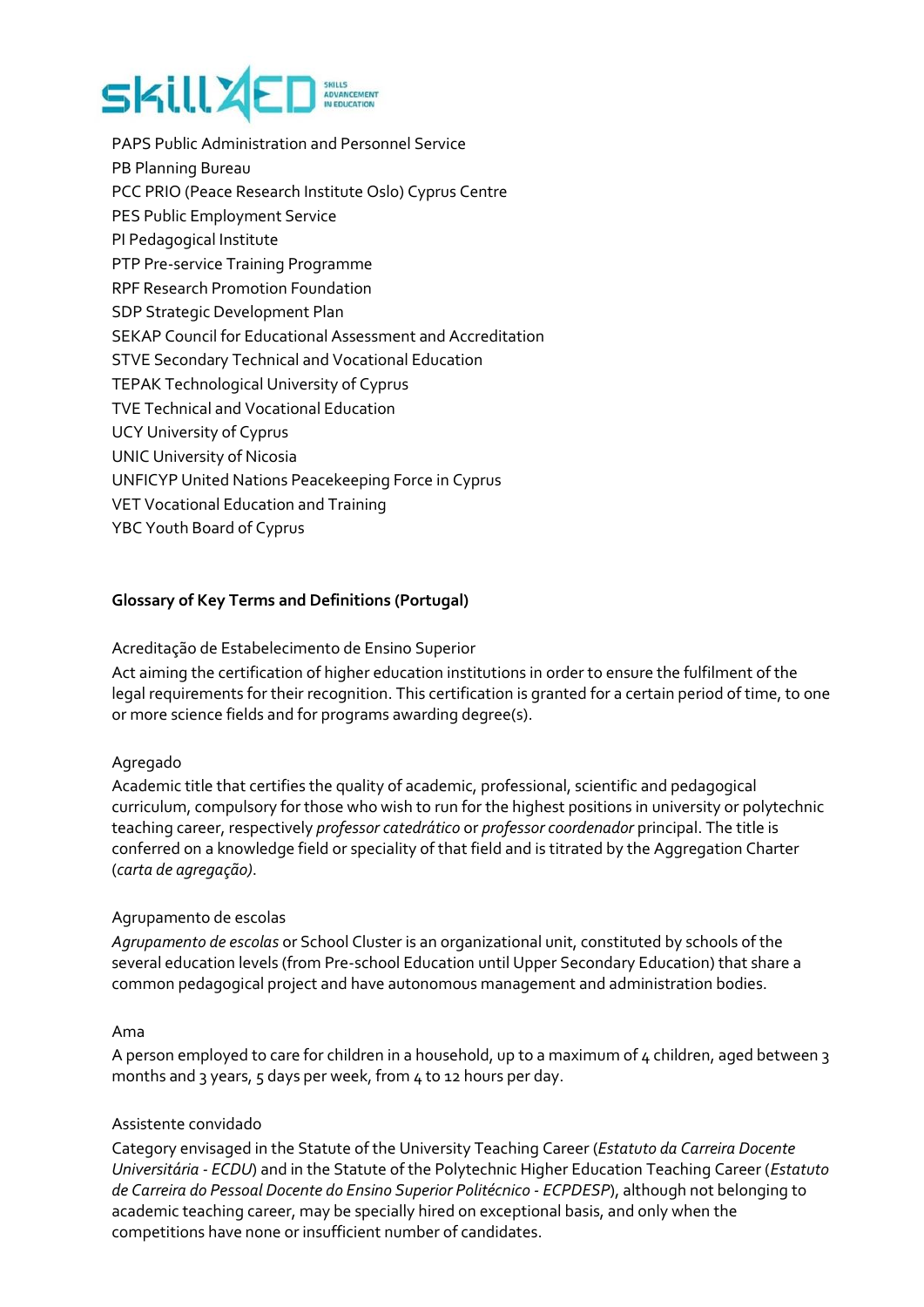# **SKill 26**

PAPS Public Administration and Personnel Service PB Planning Bureau PCC PRIO (Peace Research Institute Oslo) Cyprus Centre PES Public Employment Service PI Pedagogical Institute PTP Pre-service Training Programme RPF Research Promotion Foundation SDP Strategic Development Plan SEKAP Council for Educational Assessment and Accreditation STVE Secondary Technical and Vocational Education TEPAK Technological University of Cyprus TVE Technical and Vocational Education UCY University of Cyprus UNIC University of Nicosia UNFICYP United Nations Peacekeeping Force in Cyprus VET Vocational Education and Training YBC Youth Board of Cyprus

# **Glossary of Key Terms and Definitions (Portugal)**

# Acreditação de Estabelecimento de Ensino Superior

Act aiming the certification of higher education institutions in order to ensure the fulfilment of the legal requirements for their recognition. This certification is granted for a certain period of time, to one or more science fields and for programs awarding degree(s).

# Agregado

Academic title that certifies the quality of academic, professional, scientific and pedagogical curriculum, compulsory for those who wish to run for the highest positions in university or polytechnic teaching career, respectively *professor catedrático* or *professor coordenador* principal. The title is conferred on a knowledge field or speciality of that field and is titrated by the Aggregation Charter (*carta de agregação)*.

# Agrupamento de escolas

*Agrupamento de escolas* or School Cluster is an organizational unit, constituted by schools of the several education levels (from Pre-school Education until Upper Secondary Education) that share a common pedagogical project and have autonomous management and administration bodies.

# Ama

A person employed to care for children in a household, up to a maximum of 4 children, aged between 3 months and 3 years, 5 days per week, from 4 to 12 hours per day.

# Assistente convidado

Category envisaged in the Statute of the University Teaching Career (*Estatuto da Carreira Docente Universitária - ECDU*) and in the Statute of the Polytechnic Higher Education Teaching Career (*Estatuto de Carreira do Pessoal Docente do Ensino Superior Politécnico - ECPDESP*), although not belonging to academic teaching career, may be specially hired on exceptional basis, and only when the competitions have none or insufficient number of candidates.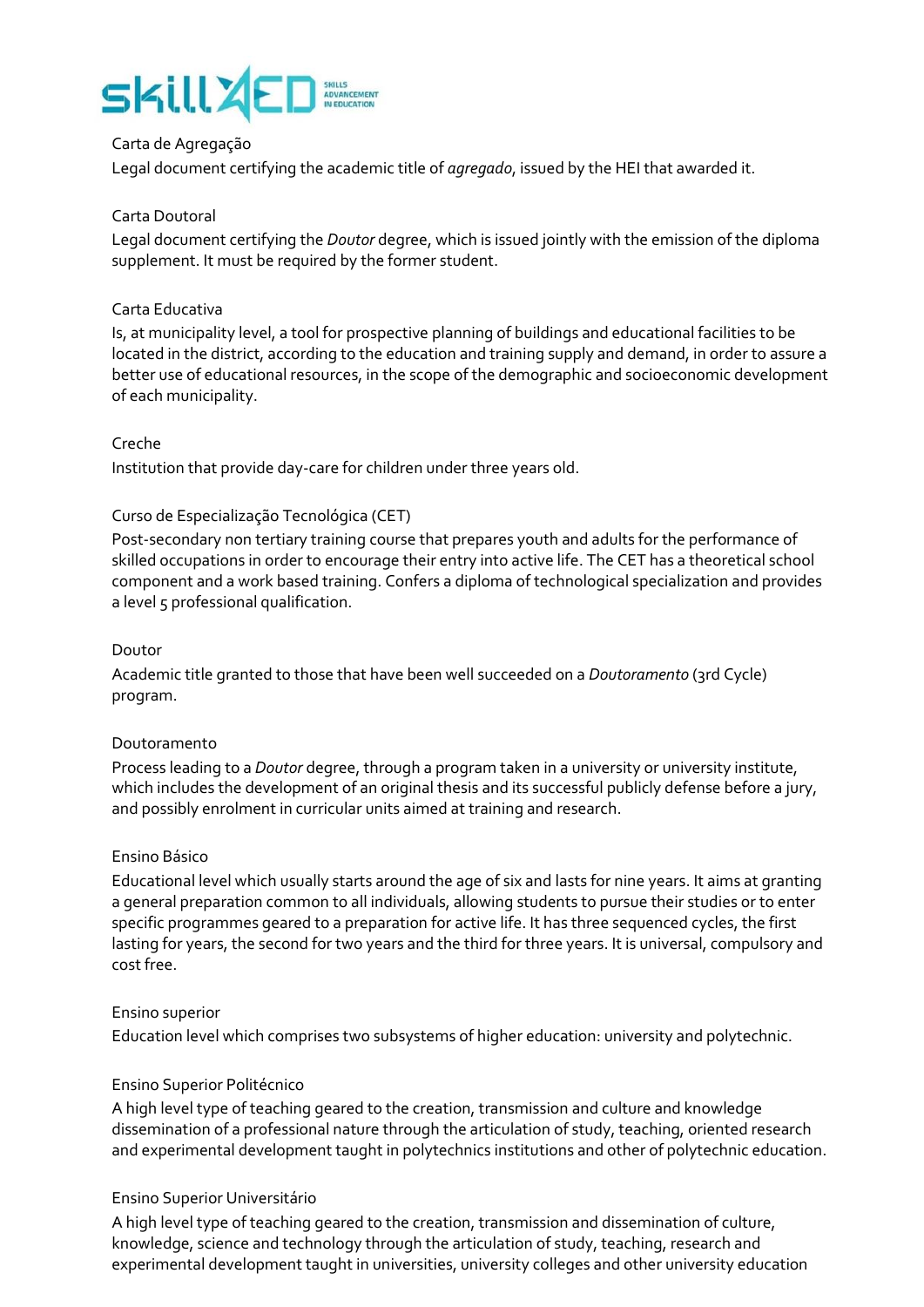# SkillZ

# Carta de Agregação

Legal document certifying the academic title of *agregado*, issued by the HEI that awarded it.

# Carta Doutoral

Legal document certifying the *Doutor* degree, which is issued jointly with the emission of the diploma supplement. It must be required by the former student.

# Carta Educativa

Is, at municipality level, a tool for prospective planning of buildings and educational facilities to be located in the district, according to the education and training supply and demand, in order to assure a better use of educational resources, in the scope of the demographic and socioeconomic development of each municipality.

# Creche

Institution that provide day-care for children under three years old.

# Curso de Especialização Tecnológica (CET)

Post-secondary non tertiary training course that prepares youth and adults for the performance of skilled occupations in order to encourage their entry into active life. The CET has a theoretical school component and a work based training. Confers a diploma of technological specialization and provides a level 5 professional qualification.

# Doutor

Academic title granted to those that have been well succeeded on a *Doutoramento* (3rd Cycle) program.

# Doutoramento

Process leading to a *Doutor* degree, through a program taken in a university or university institute, which includes the development of an original thesis and its successful publicly defense before a jury, and possibly enrolment in curricular units aimed at training and research.

# Ensino Básico

Educational level which usually starts around the age of six and lasts for nine years. It aims at granting a general preparation common to all individuals, allowing students to pursue their studies or to enter specific programmes geared to a preparation for active life. It has three sequenced cycles, the first lasting for years, the second for two years and the third for three years. It is universal, compulsory and cost free.

# Ensino superior

Education level which comprises two subsystems of higher education: university and polytechnic.

# Ensino Superior Politécnico

A high level type of teaching geared to the creation, transmission and culture and knowledge dissemination of a professional nature through the articulation of study, teaching, oriented research and experimental development taught in polytechnics institutions and other of polytechnic education.

# Ensino Superior Universitário

A high level type of teaching geared to the creation, transmission and dissemination of culture, knowledge, science and technology through the articulation of study, teaching, research and experimental development taught in universities, university colleges and other university education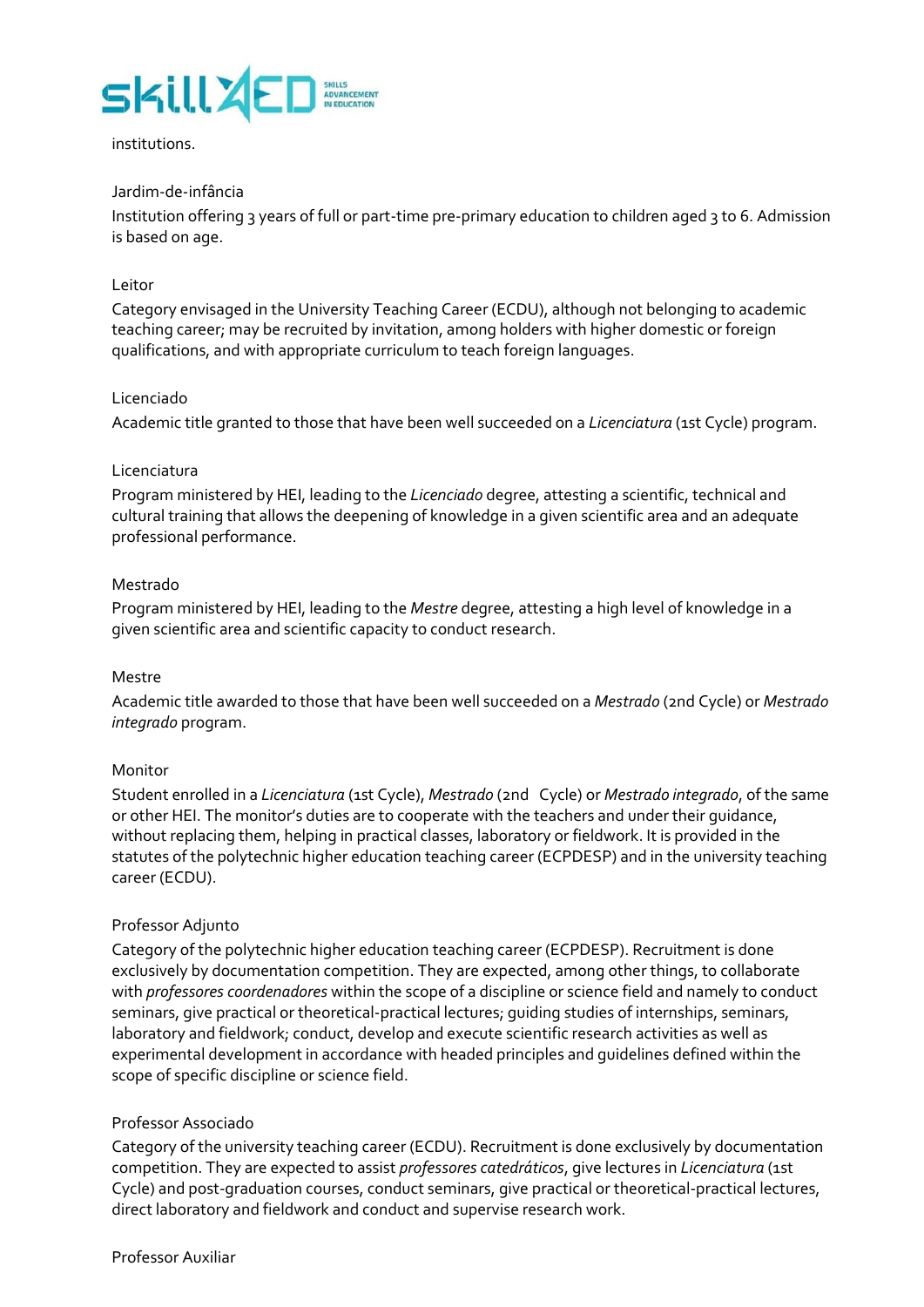

#### institutions.

# Jardim-de-infância

Institution offering 3 years of full or part-time pre-primary education to children aged 3 to 6. Admission is based on age.

#### Leitor

Category envisaged in the University Teaching Career (ECDU), although not belonging to academic teaching career; may be recruited by invitation, among holders with higher domestic or foreign qualifications, and with appropriate curriculum to teach foreign languages.

#### Licenciado

Academic title granted to those that have been well succeeded on a *Licenciatura* (1st Cycle) program.

#### Licenciatura

Program ministered by HEI, leading to the *Licenciado* degree, attesting a scientific, technical and cultural training that allows the deepening of knowledge in a given scientific area and an adequate professional performance.

#### Mestrado

Program ministered by HEI, leading to the *Mestre* degree, attesting a high level of knowledge in a given scientific area and scientific capacity to conduct research.

#### Mestre

Academic title awarded to those that have been well succeeded on a *Mestrado* (2nd Cycle) or *Mestrado integrado* program.

#### Monitor

Student enrolled in a *Licenciatura* (1st Cycle), *Mestrado* (2nd Cycle) or *Mestrado integrado*, of the same or other HEI. The monitor's duties are to cooperate with the teachers and under their guidance, without replacing them, helping in practical classes, laboratory or fieldwork. It is provided in the statutes of the polytechnic higher education teaching career (ECPDESP) and in the university teaching career (ECDU).

#### Professor Adjunto

Category of the polytechnic higher education teaching career (ECPDESP). Recruitment is done exclusively by documentation competition. They are expected, among other things, to collaborate with *professores coordenadores* within the scope of a discipline or science field and namely to conduct seminars, give practical or theoretical-practical lectures; guiding studies of internships, seminars, laboratory and fieldwork; conduct, develop and execute scientific research activities as well as experimental development in accordance with headed principles and guidelines defined within the scope of specific discipline or science field.

#### Professor Associado

Category of the university teaching career (ECDU). Recruitment is done exclusively by documentation competition. They are expected to assist *professores catedráticos*, give lectures in *Licenciatura* (1st Cycle) and post-graduation courses, conduct seminars, give practical or theoretical-practical lectures, direct laboratory and fieldwork and conduct and supervise research work.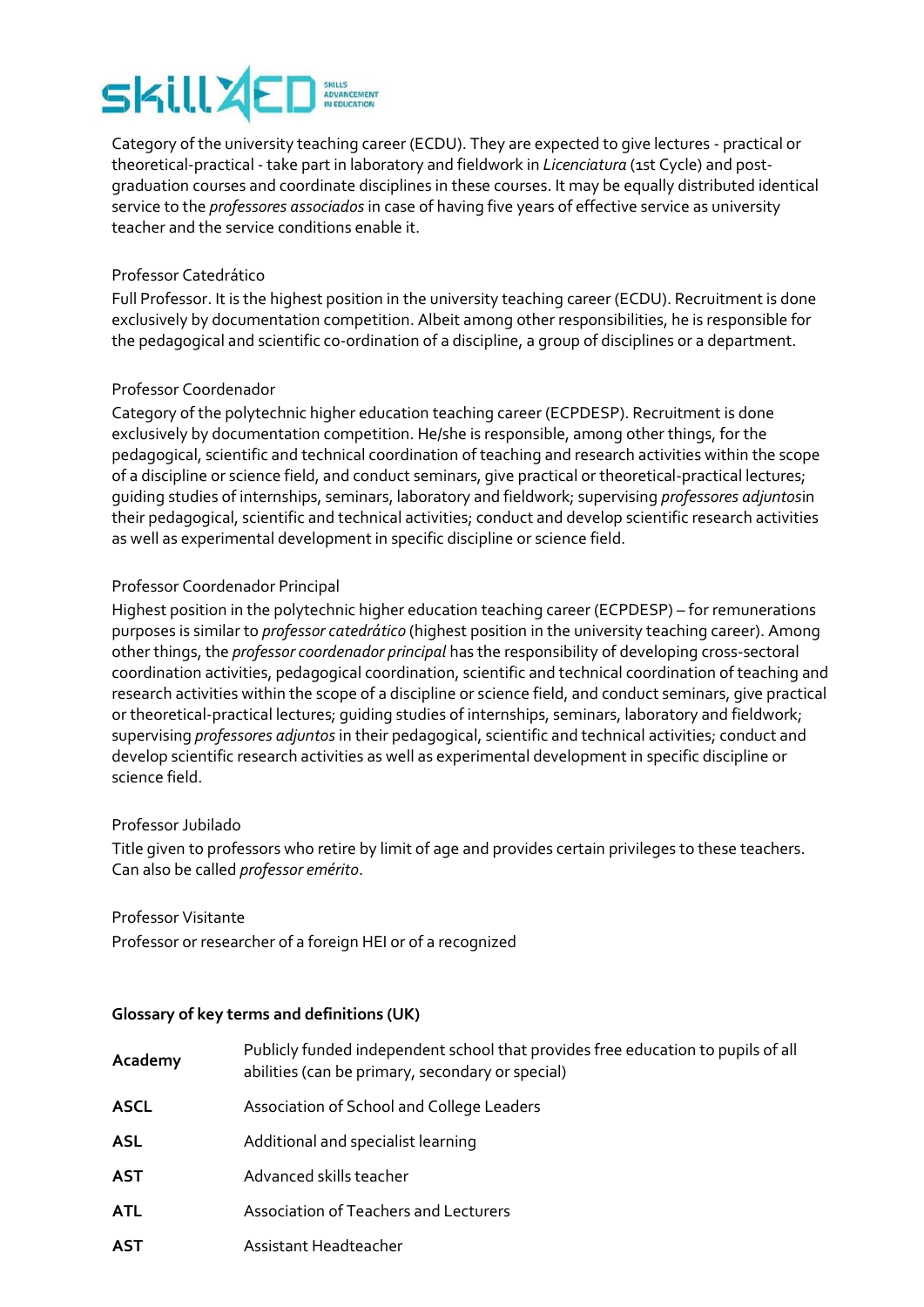# **SKill 26**

Category of the university teaching career (ECDU). They are expected to give lectures - practical or theoretical-practical - take part in laboratory and fieldwork in *Licenciatura* (1st Cycle) and postgraduation courses and coordinate disciplines in these courses. It may be equally distributed identical service to the *professores associados* in case of having five years of effective service as university teacher and the service conditions enable it.

# Professor Catedrático

Full Professor. It is the highest position in the university teaching career (ECDU). Recruitment is done exclusively by documentation competition. Albeit among other responsibilities, he is responsible for the pedagogical and scientific co-ordination of a discipline, a group of disciplines or a department.

# Professor Coordenador

Category of the polytechnic higher education teaching career (ECPDESP). Recruitment is done exclusively by documentation competition. He/she is responsible, among other things, for the pedagogical, scientific and technical coordination of teaching and research activities within the scope of a discipline or science field, and conduct seminars, give practical or theoretical-practical lectures; guiding studies of internships, seminars, laboratory and fieldwork; supervising *professores adjuntos*in their pedagogical, scientific and technical activities; conduct and develop scientific research activities as well as experimental development in specific discipline or science field.

# Professor Coordenador Principal

Highest position in the polytechnic higher education teaching career (ECPDESP) – for remunerations purposes is similar to *professor catedrático* (highest position in the university teaching career). Among other things, the *professor coordenador principal* has the responsibility of developing cross-sectoral coordination activities, pedagogical coordination, scientific and technical coordination of teaching and research activities within the scope of a discipline or science field, and conduct seminars, give practical or theoretical-practical lectures; guiding studies of internships, seminars, laboratory and fieldwork; supervising *professores adjuntos* in their pedagogical, scientific and technical activities; conduct and develop scientific research activities as well as experimental development in specific discipline or science field.

# Professor Jubilado

Title given to professors who retire by limit of age and provides certain privileges to these teachers. Can also be called *professor emérito*.

# Professor Visitante

Professor or researcher of a foreign HEI or of a recognized

# **Glossary of key terms and definitions (UK)**

| Academy     | Publicly funded independent school that provides free education to pupils of all<br>abilities (can be primary, secondary or special) |
|-------------|--------------------------------------------------------------------------------------------------------------------------------------|
| <b>ASCL</b> | Association of School and College Leaders                                                                                            |
| <b>ASL</b>  | Additional and specialist learning                                                                                                   |
| <b>AST</b>  | Advanced skills teacher                                                                                                              |
| <b>ATL</b>  | Association of Teachers and Lecturers                                                                                                |
| <b>AST</b>  | Assistant Headteacher                                                                                                                |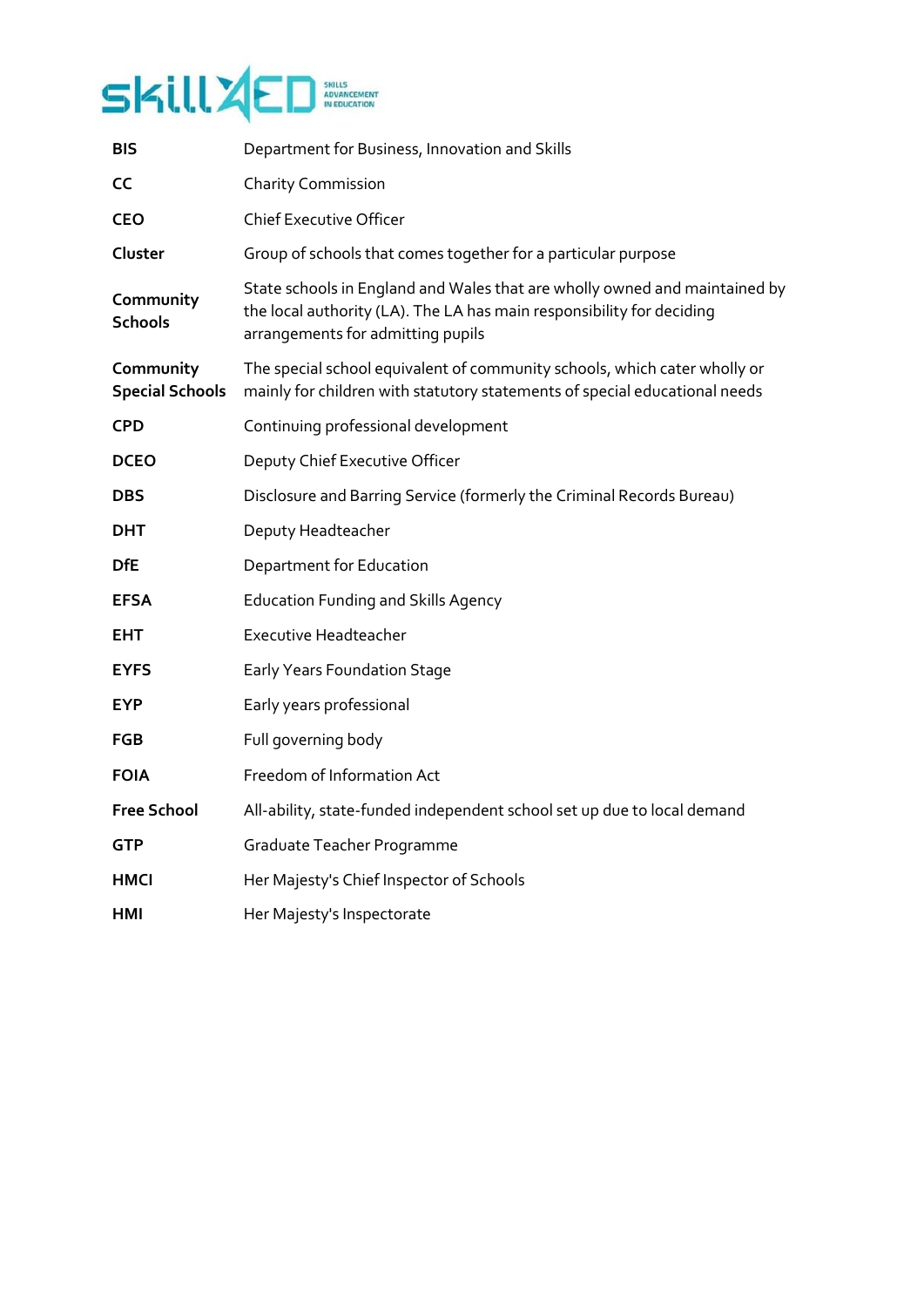

| <b>BIS</b>                          | Department for Business, Innovation and Skills                                                                                                                                           |
|-------------------------------------|------------------------------------------------------------------------------------------------------------------------------------------------------------------------------------------|
| <b>CC</b>                           | <b>Charity Commission</b>                                                                                                                                                                |
| <b>CEO</b>                          | <b>Chief Executive Officer</b>                                                                                                                                                           |
| Cluster                             | Group of schools that comes together for a particular purpose                                                                                                                            |
| Community<br><b>Schools</b>         | State schools in England and Wales that are wholly owned and maintained by<br>the local authority (LA). The LA has main responsibility for deciding<br>arrangements for admitting pupils |
| Community<br><b>Special Schools</b> | The special school equivalent of community schools, which cater wholly or<br>mainly for children with statutory statements of special educational needs                                  |
| <b>CPD</b>                          | Continuing professional development                                                                                                                                                      |
| <b>DCEO</b>                         | Deputy Chief Executive Officer                                                                                                                                                           |
| <b>DBS</b>                          | Disclosure and Barring Service (formerly the Criminal Records Bureau)                                                                                                                    |
| <b>DHT</b>                          | Deputy Headteacher                                                                                                                                                                       |
| <b>DfE</b>                          | Department for Education                                                                                                                                                                 |
| <b>EFSA</b>                         | <b>Education Funding and Skills Agency</b>                                                                                                                                               |
| <b>EHT</b>                          | <b>Executive Headteacher</b>                                                                                                                                                             |
| <b>EYFS</b>                         | <b>Early Years Foundation Stage</b>                                                                                                                                                      |
| <b>EYP</b>                          | Early years professional                                                                                                                                                                 |
| <b>FGB</b>                          | Full governing body                                                                                                                                                                      |
| <b>FOIA</b>                         | Freedom of Information Act                                                                                                                                                               |
| <b>Free School</b>                  | All-ability, state-funded independent school set up due to local demand                                                                                                                  |
| <b>GTP</b>                          | Graduate Teacher Programme                                                                                                                                                               |
| HMCI                                | Her Majesty's Chief Inspector of Schools                                                                                                                                                 |
| HMI                                 | Her Majesty's Inspectorate                                                                                                                                                               |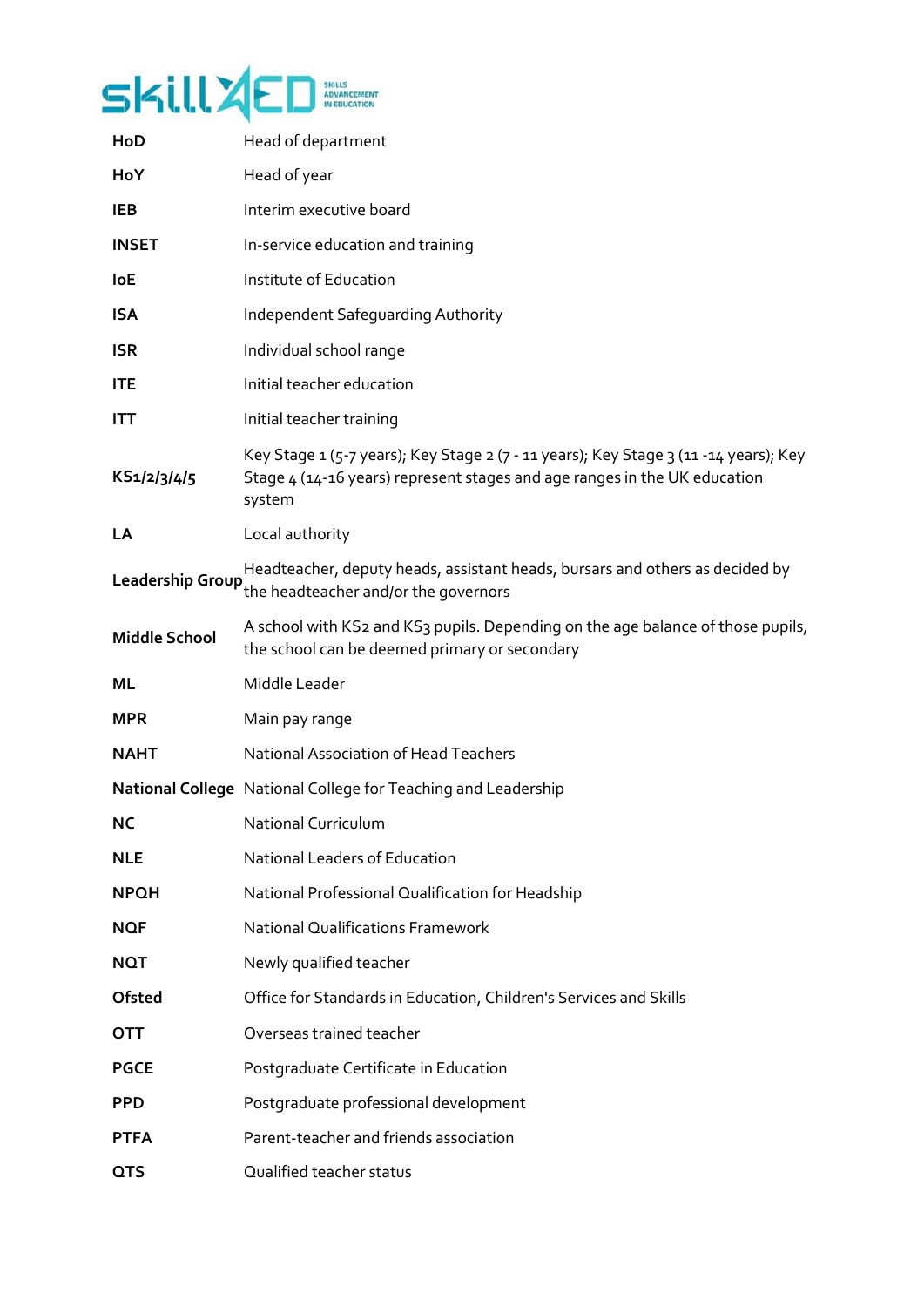

| HoD                  | Head of department                                                                                                                                                           |
|----------------------|------------------------------------------------------------------------------------------------------------------------------------------------------------------------------|
| HoY                  | Head of year                                                                                                                                                                 |
| <b>IEB</b>           | Interim executive board                                                                                                                                                      |
| <b>INSET</b>         | In-service education and training                                                                                                                                            |
| <b>IoE</b>           | Institute of Education                                                                                                                                                       |
| <b>ISA</b>           | Independent Safeguarding Authority                                                                                                                                           |
| <b>ISR</b>           | Individual school range                                                                                                                                                      |
| <b>ITE</b>           | Initial teacher education                                                                                                                                                    |
| <b>ITT</b>           | Initial teacher training                                                                                                                                                     |
| KS1/2/3/4/5          | Key Stage 1 (5-7 years); Key Stage 2 (7 - 11 years); Key Stage 3 (11 - 14 years); Key<br>Stage 4 (14-16 years) represent stages and age ranges in the UK education<br>system |
| LA                   | Local authority                                                                                                                                                              |
| Leadership Group     | Headteacher, deputy heads, assistant heads, bursars and others as decided by<br>the headteacher and/or the governors                                                         |
| <b>Middle School</b> | A school with KS2 and KS3 pupils. Depending on the age balance of those pupils,<br>the school can be deemed primary or secondary                                             |
| ML                   | Middle Leader                                                                                                                                                                |
| <b>MPR</b>           | Main pay range                                                                                                                                                               |
| <b>NAHT</b>          | <b>National Association of Head Teachers</b>                                                                                                                                 |
|                      | <b>National College</b> National College for Teaching and Leadership                                                                                                         |
| <b>NC</b>            | <b>National Curriculum</b>                                                                                                                                                   |
| <b>NLE</b>           | National Leaders of Education                                                                                                                                                |
| <b>NPQH</b>          | National Professional Qualification for Headship                                                                                                                             |
| <b>NQF</b>           | <b>National Qualifications Framework</b>                                                                                                                                     |
| <b>NQT</b>           | Newly qualified teacher                                                                                                                                                      |
| <b>Ofsted</b>        | Office for Standards in Education, Children's Services and Skills                                                                                                            |
| <b>OTT</b>           | Overseas trained teacher                                                                                                                                                     |
| <b>PGCE</b>          | Postgraduate Certificate in Education                                                                                                                                        |
| <b>PPD</b>           | Postgraduate professional development                                                                                                                                        |
| <b>PTFA</b>          | Parent-teacher and friends association                                                                                                                                       |
| <b>QTS</b>           | Qualified teacher status                                                                                                                                                     |